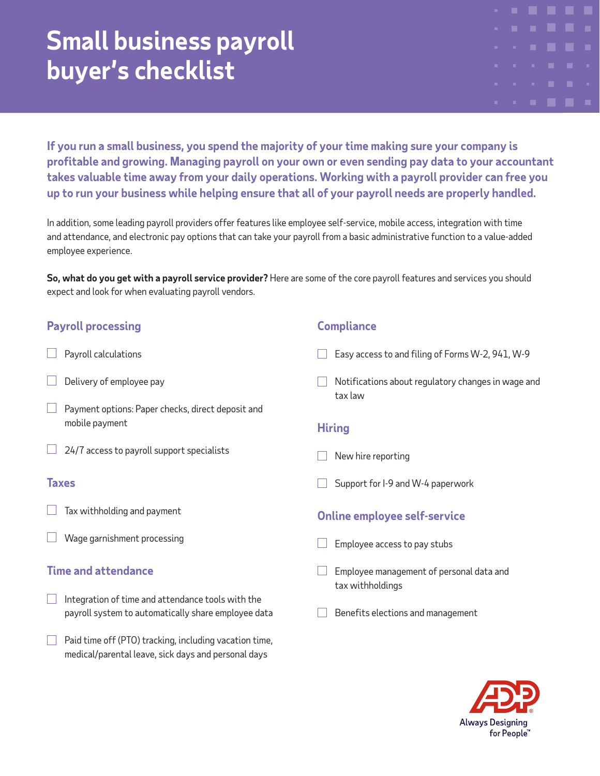# **Small business payroll buyer's checklist**

**If you run a small business, you spend the majority of your time making sure your company is profitable and growing. Managing payroll on your own or even sending pay data to your accountant takes valuable time away from your daily operations. Working with a payroll provider can free you up to run your business while helping ensure that all of your payroll needs are properly handled.**

In addition, some leading payroll providers offer features like employee self-service, mobile access, integration with time and attendance, and electronic pay options that can take your payroll from a basic administrative function to a value-added employee experience.

**So, what do you get with a payroll service provider?** Here are some of the core payroll features and services you should expect and look for when evaluating payroll vendors.

## **Payroll processing**

- Payroll calculations
- Delivery of employee pay
- Payment options: Paper checks, direct deposit and mobile payment
- $\Box$  24/7 access to payroll support specialists

#### **Taxes**

- Tax withholding and payment
- Wage garnishment processing

#### **Time and attendance**

- Integration of time and attendance tools with the  $\mathbb{R}^n$ payroll system to automatically share employee data
- $\Box$ Paid time off (PTO) tracking, including vacation time, medical/parental leave, sick days and personal days

#### **Compliance**

- Easy access to and filing of Forms W-2, 941, W-9
- $\Box$  Notifications about regulatory changes in wage and tax law

### **Hiring**

- New hire reporting
- Support for I-9 and W-4 paperwork

#### **Online employee self-service**

- Employee access to pay stubs
- Employee management of personal data and tax withholdings
- Benefits elections and management